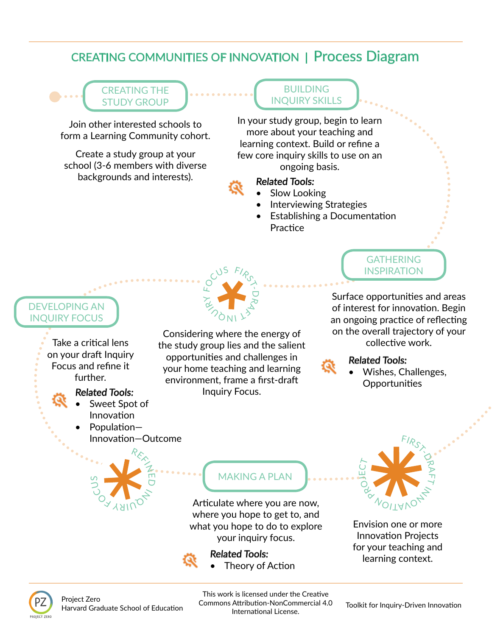# CREATING COMMUNITIES OF INNOVATION | Process Diagram

## CREATING THE STUDY GROUP

Join other interested schools to form a Learning Community cohort.

Create a study group at your school (3-6 members with diverse backgrounds and interests).

### BUILDING INQUIRY SKILLS

In your study group, begin to learn more about your teaching and learning context. Build or refne a few core inquiry skills to use on an ongoing basis.

Slow Looking

Related Tools:

- Interviewing Strategies
- Establishing a Documentation Practice



GATHERING INSPIRATION

Surface opportunities and areas of interest for innovation. Begin an ongoing practice of reflecting on the overall trajectory of your collective work.



## Related Tools:

• Wishes, Challenges, **Opportunities** 

# DEVELOPING AN INQUIRY FOCUS

Take a critical lens on your draft Inquiry Focus and refne it further.

## Related Tools:

Sweet Spot of Innovation

OY YAIN

<u>ဉ</u> ທ

Population-

RER<br>T

гп **D**  $\overline{\overline{z}}$  $\infty$ 

# MAKING A PLAN

Articulate where you are now, where you hope to get to, and what you hope to do to explore your inquiry focus.

Related Tools:



Envision one or more **Innovation Projects** for your teaching and learning context.



Harvard Graduate School of Education<br>Harvard Graduate School of Education Toolkit for Inquiry-Driven Innovation This work is licensed under the Creative Commons Attribution-NonCommercial 4.0 International License.

Theory of Action



Considering where the energy of the study group lies and the salient opportunites and challenges in your home teaching and learning environment, frame a frst-draf Inquiry Focus.